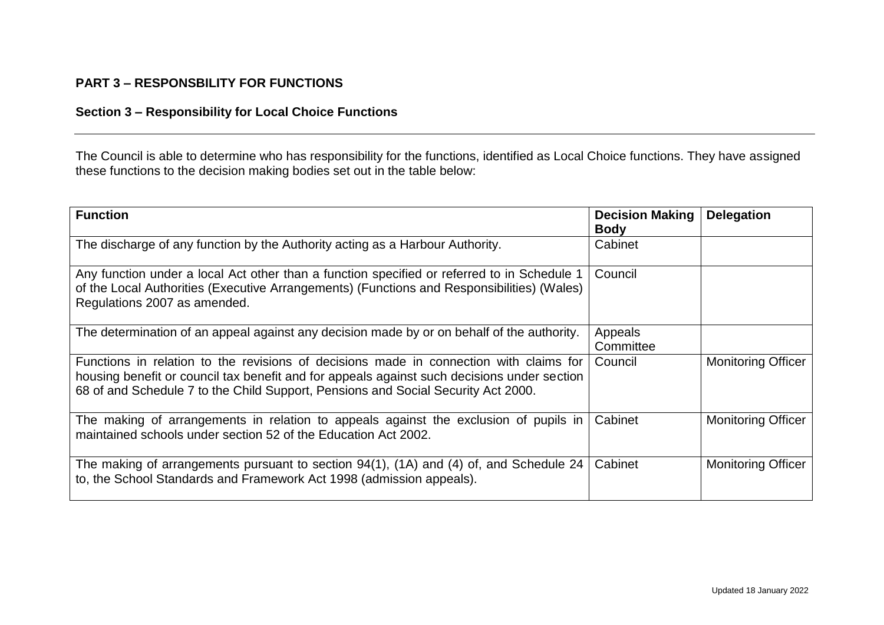## **PART 3 – RESPONSBILITY FOR FUNCTIONS**

## **Section 3 – Responsibility for Local Choice Functions**

The Council is able to determine who has responsibility for the functions, identified as Local Choice functions. They have assigned these functions to the decision making bodies set out in the table below:

| <b>Function</b>                                                                                                                                                                                                                                                            | <b>Decision Making</b><br><b>Body</b> | <b>Delegation</b>         |
|----------------------------------------------------------------------------------------------------------------------------------------------------------------------------------------------------------------------------------------------------------------------------|---------------------------------------|---------------------------|
| The discharge of any function by the Authority acting as a Harbour Authority.                                                                                                                                                                                              | Cabinet                               |                           |
| Any function under a local Act other than a function specified or referred to in Schedule 1<br>of the Local Authorities (Executive Arrangements) (Functions and Responsibilities) (Wales)<br>Regulations 2007 as amended.                                                  | Council                               |                           |
| The determination of an appeal against any decision made by or on behalf of the authority.                                                                                                                                                                                 | Appeals<br>Committee                  |                           |
| Functions in relation to the revisions of decisions made in connection with claims for<br>housing benefit or council tax benefit and for appeals against such decisions under section<br>68 of and Schedule 7 to the Child Support, Pensions and Social Security Act 2000. | Council                               | <b>Monitoring Officer</b> |
| The making of arrangements in relation to appeals against the exclusion of pupils in<br>maintained schools under section 52 of the Education Act 2002.                                                                                                                     | Cabinet                               | <b>Monitoring Officer</b> |
| The making of arrangements pursuant to section 94(1), (1A) and (4) of, and Schedule 24<br>to, the School Standards and Framework Act 1998 (admission appeals).                                                                                                             | Cabinet                               | <b>Monitoring Officer</b> |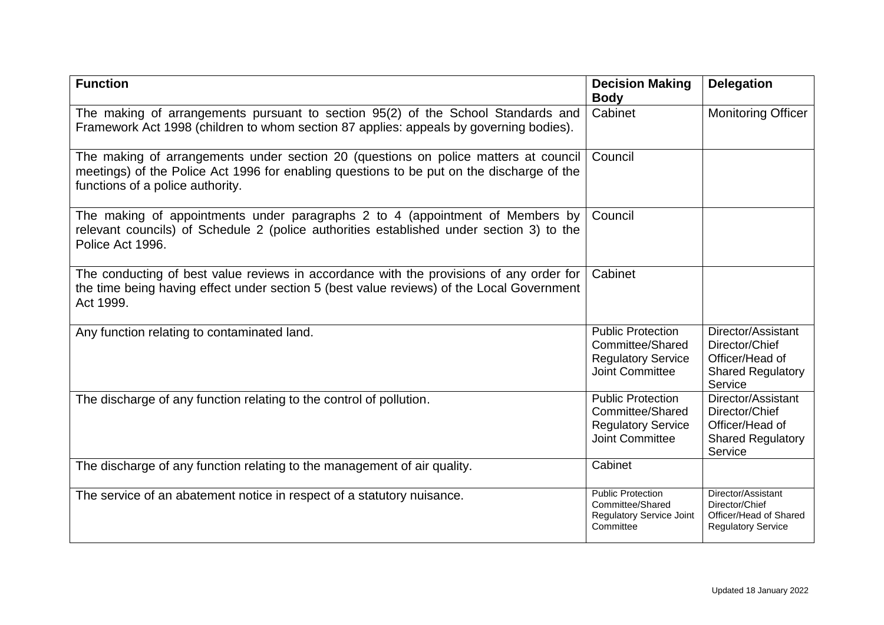| <b>Function</b>                                                                                                                                                                                                      | <b>Decision Making</b><br><b>Body</b>                                                               | <b>Delegation</b>                                                                              |
|----------------------------------------------------------------------------------------------------------------------------------------------------------------------------------------------------------------------|-----------------------------------------------------------------------------------------------------|------------------------------------------------------------------------------------------------|
| The making of arrangements pursuant to section 95(2) of the School Standards and<br>Framework Act 1998 (children to whom section 87 applies: appeals by governing bodies).                                           | Cabinet                                                                                             | <b>Monitoring Officer</b>                                                                      |
| The making of arrangements under section 20 (questions on police matters at council<br>meetings) of the Police Act 1996 for enabling questions to be put on the discharge of the<br>functions of a police authority. | Council                                                                                             |                                                                                                |
| The making of appointments under paragraphs 2 to 4 (appointment of Members by<br>relevant councils) of Schedule 2 (police authorities established under section 3) to the<br>Police Act 1996.                        | Council                                                                                             |                                                                                                |
| The conducting of best value reviews in accordance with the provisions of any order for<br>the time being having effect under section 5 (best value reviews) of the Local Government<br>Act 1999.                    | Cabinet                                                                                             |                                                                                                |
| Any function relating to contaminated land.                                                                                                                                                                          | <b>Public Protection</b><br>Committee/Shared<br><b>Regulatory Service</b><br><b>Joint Committee</b> | Director/Assistant<br>Director/Chief<br>Officer/Head of<br><b>Shared Regulatory</b><br>Service |
| The discharge of any function relating to the control of pollution.                                                                                                                                                  | <b>Public Protection</b><br>Committee/Shared<br><b>Regulatory Service</b><br><b>Joint Committee</b> | Director/Assistant<br>Director/Chief<br>Officer/Head of<br><b>Shared Regulatory</b><br>Service |
| The discharge of any function relating to the management of air quality.                                                                                                                                             | Cabinet                                                                                             |                                                                                                |
| The service of an abatement notice in respect of a statutory nuisance.                                                                                                                                               | <b>Public Protection</b><br>Committee/Shared<br><b>Regulatory Service Joint</b><br>Committee        | Director/Assistant<br>Director/Chief<br>Officer/Head of Shared<br><b>Regulatory Service</b>    |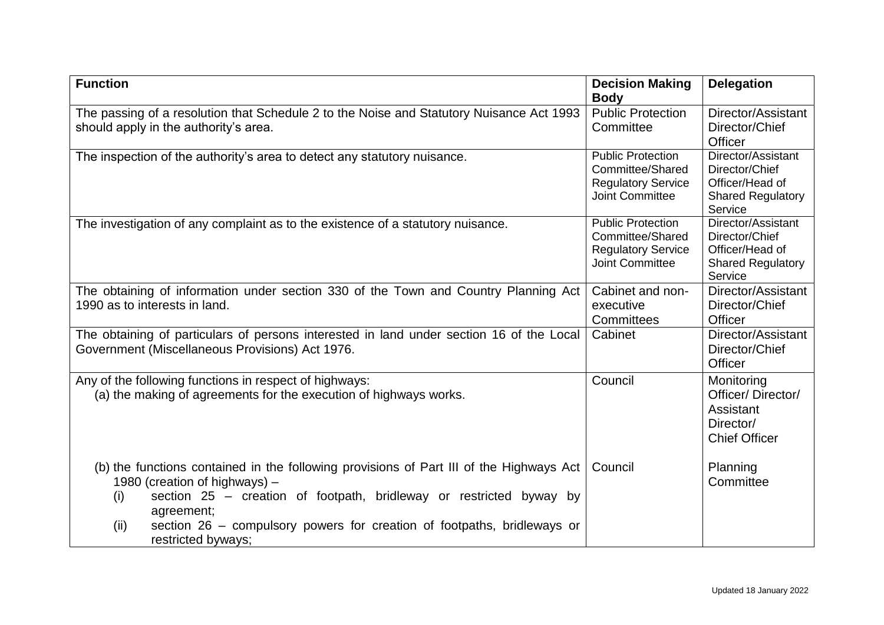| <b>Function</b>                                                                                                                                                                                                                                                                                                               | <b>Decision Making</b>                                                                              | <b>Delegation</b>                                                                              |
|-------------------------------------------------------------------------------------------------------------------------------------------------------------------------------------------------------------------------------------------------------------------------------------------------------------------------------|-----------------------------------------------------------------------------------------------------|------------------------------------------------------------------------------------------------|
| The passing of a resolution that Schedule 2 to the Noise and Statutory Nuisance Act 1993<br>should apply in the authority's area.                                                                                                                                                                                             | <b>Body</b><br><b>Public Protection</b><br>Committee                                                | Director/Assistant<br>Director/Chief<br>Officer                                                |
| The inspection of the authority's area to detect any statutory nuisance.                                                                                                                                                                                                                                                      | <b>Public Protection</b><br>Committee/Shared<br><b>Regulatory Service</b><br><b>Joint Committee</b> | Director/Assistant<br>Director/Chief<br>Officer/Head of<br><b>Shared Regulatory</b><br>Service |
| The investigation of any complaint as to the existence of a statutory nuisance.                                                                                                                                                                                                                                               | <b>Public Protection</b><br>Committee/Shared<br><b>Regulatory Service</b><br><b>Joint Committee</b> | Director/Assistant<br>Director/Chief<br>Officer/Head of<br><b>Shared Regulatory</b><br>Service |
| The obtaining of information under section 330 of the Town and Country Planning Act<br>1990 as to interests in land.                                                                                                                                                                                                          | Cabinet and non-<br>executive<br>Committees                                                         | Director/Assistant<br>Director/Chief<br>Officer                                                |
| The obtaining of particulars of persons interested in land under section 16 of the Local<br>Government (Miscellaneous Provisions) Act 1976.                                                                                                                                                                                   | Cabinet                                                                                             | Director/Assistant<br>Director/Chief<br>Officer                                                |
| Any of the following functions in respect of highways:<br>(a) the making of agreements for the execution of highways works.                                                                                                                                                                                                   | Council                                                                                             | Monitoring<br>Officer/Director/<br>Assistant<br>Director/<br><b>Chief Officer</b>              |
| (b) the functions contained in the following provisions of Part III of the Highways Act<br>1980 (creation of highways) -<br>section 25 - creation of footpath, bridleway or restricted byway by<br>(i)<br>agreement;<br>section 26 – compulsory powers for creation of footpaths, bridleways or<br>(ii)<br>restricted byways; | Council                                                                                             | Planning<br>Committee                                                                          |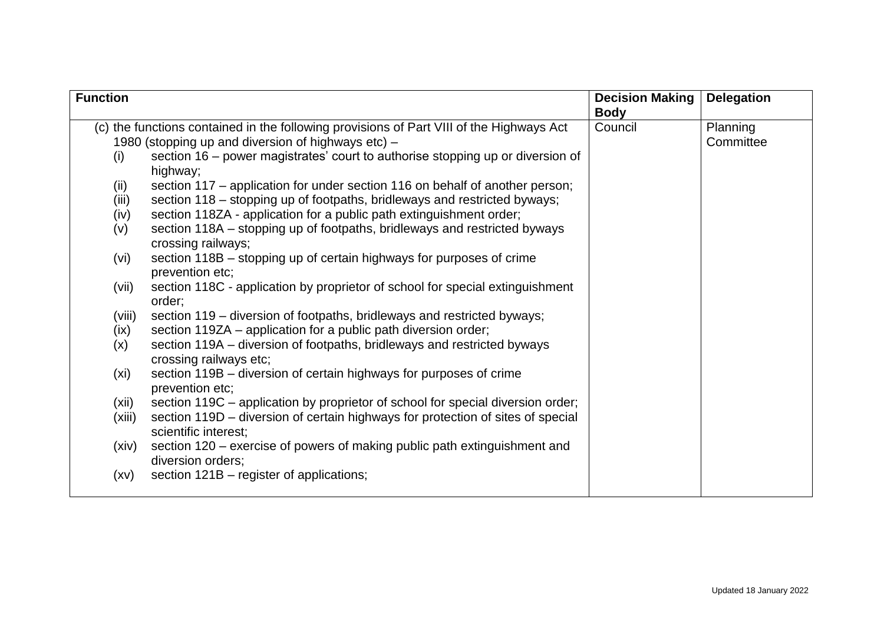| <b>Function</b> |                                                                                                         | <b>Decision Making</b> | <b>Delegation</b>     |
|-----------------|---------------------------------------------------------------------------------------------------------|------------------------|-----------------------|
|                 |                                                                                                         | <b>Body</b>            |                       |
|                 | (c) the functions contained in the following provisions of Part VIII of the Highways Act                | Council                | Planning<br>Committee |
|                 | 1980 (stopping up and diversion of highways etc) –                                                      |                        |                       |
| (i)             | section 16 – power magistrates' court to authorise stopping up or diversion of<br>highway;              |                        |                       |
| (ii)            | section 117 – application for under section 116 on behalf of another person;                            |                        |                       |
| (iii)           | section 118 – stopping up of footpaths, bridleways and restricted byways;                               |                        |                       |
| (iv)            | section 118ZA - application for a public path extinguishment order;                                     |                        |                       |
| (v)             | section 118A – stopping up of footpaths, bridleways and restricted byways<br>crossing railways;         |                        |                       |
| (vi)            | section 118B – stopping up of certain highways for purposes of crime<br>prevention etc;                 |                        |                       |
| (vii)           | section 118C - application by proprietor of school for special extinguishment<br>order;                 |                        |                       |
| (viii)          | section 119 – diversion of footpaths, bridleways and restricted byways;                                 |                        |                       |
| (ix)            | section 119ZA – application for a public path diversion order;                                          |                        |                       |
| (x)             | section 119A - diversion of footpaths, bridleways and restricted byways<br>crossing railways etc;       |                        |                       |
| (xi)            | section 119B – diversion of certain highways for purposes of crime<br>prevention etc;                   |                        |                       |
| (xii)           | section 119C - application by proprietor of school for special diversion order;                         |                        |                       |
| (xiii)          | section 119D – diversion of certain highways for protection of sites of special<br>scientific interest; |                        |                       |
| (xiv)           | section 120 – exercise of powers of making public path extinguishment and<br>diversion orders;          |                        |                       |
| (xv)            | section 121B – register of applications;                                                                |                        |                       |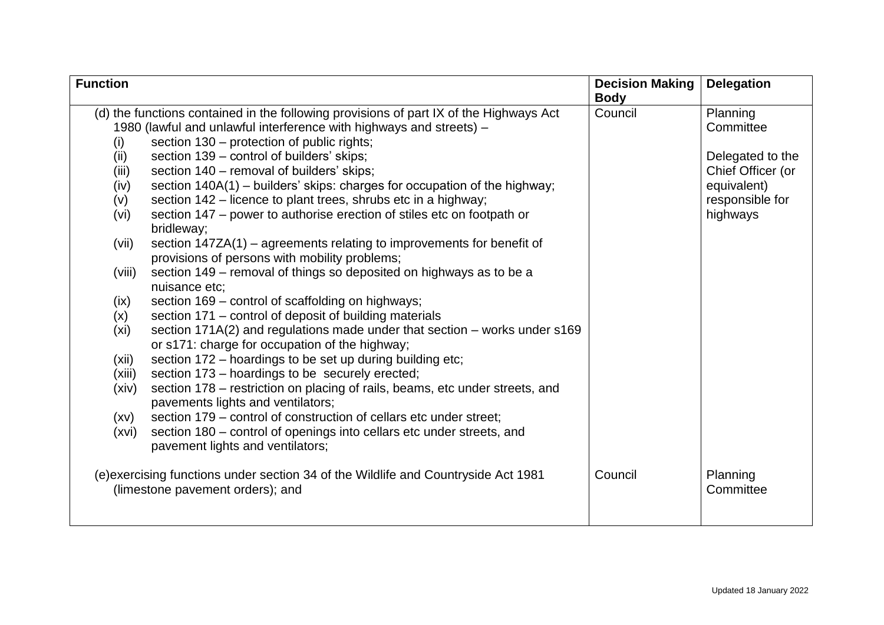| <b>Function</b> |                                                                                        | <b>Decision Making</b> | <b>Delegation</b> |
|-----------------|----------------------------------------------------------------------------------------|------------------------|-------------------|
|                 |                                                                                        | <b>Body</b>            |                   |
|                 | (d) the functions contained in the following provisions of part IX of the Highways Act | Council                | Planning          |
|                 | 1980 (lawful and unlawful interference with highways and streets) -                    |                        | Committee         |
| (i)             | section 130 – protection of public rights;                                             |                        |                   |
| (ii)            | section 139 – control of builders' skips;                                              |                        | Delegated to the  |
| (iii)           | section 140 - removal of builders' skips;                                              |                        | Chief Officer (or |
| (iv)            | section 140A(1) – builders' skips: charges for occupation of the highway;              |                        | equivalent)       |
| (v)             | section 142 – licence to plant trees, shrubs etc in a highway;                         |                        | responsible for   |
| (vi)            | section 147 – power to authorise erection of stiles etc on footpath or<br>bridleway;   |                        | highways          |
| (vii)           | section 147ZA(1) – agreements relating to improvements for benefit of                  |                        |                   |
|                 | provisions of persons with mobility problems;                                          |                        |                   |
| (viii)          | section 149 – removal of things so deposited on highways as to be a                    |                        |                   |
|                 | nuisance etc:                                                                          |                        |                   |
| (ix)            | section 169 – control of scaffolding on highways;                                      |                        |                   |
| (x)             | section 171 – control of deposit of building materials                                 |                        |                   |
| (xi)            | section 171A(2) and regulations made under that section - works under s169             |                        |                   |
|                 | or s171: charge for occupation of the highway;                                         |                        |                   |
| (xii)           | section 172 - hoardings to be set up during building etc;                              |                        |                   |
| (xiii)          | section 173 - hoardings to be securely erected;                                        |                        |                   |
| (xiv)           | section 178 – restriction on placing of rails, beams, etc under streets, and           |                        |                   |
|                 | pavements lights and ventilators;                                                      |                        |                   |
| (xv)            | section 179 – control of construction of cellars etc under street;                     |                        |                   |
| (xvi)           | section 180 – control of openings into cellars etc under streets, and                  |                        |                   |
|                 | pavement lights and ventilators;                                                       |                        |                   |
|                 | (e) exercising functions under section 34 of the Wildlife and Countryside Act 1981     | Council                | Planning          |
|                 | (limestone pavement orders); and                                                       |                        | Committee         |
|                 |                                                                                        |                        |                   |
|                 |                                                                                        |                        |                   |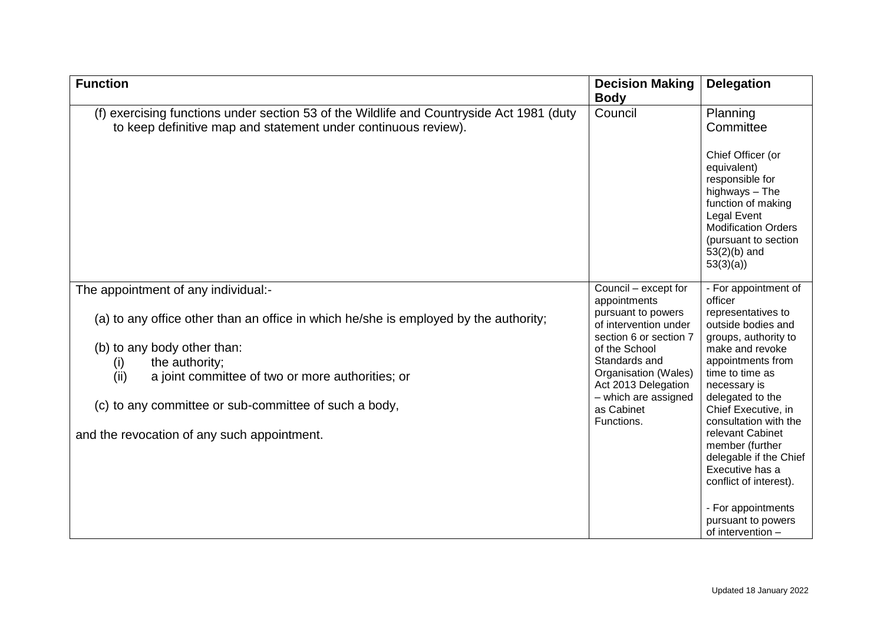| <b>Function</b>                                                                                                                                                                                                                                                                                                                                         | <b>Decision Making</b><br><b>Body</b>                                                                                                                                                                                                              | <b>Delegation</b>                                                                                                                                                                                                                                                                                                                                                                                            |
|---------------------------------------------------------------------------------------------------------------------------------------------------------------------------------------------------------------------------------------------------------------------------------------------------------------------------------------------------------|----------------------------------------------------------------------------------------------------------------------------------------------------------------------------------------------------------------------------------------------------|--------------------------------------------------------------------------------------------------------------------------------------------------------------------------------------------------------------------------------------------------------------------------------------------------------------------------------------------------------------------------------------------------------------|
| (f) exercising functions under section 53 of the Wildlife and Countryside Act 1981 (duty<br>to keep definitive map and statement under continuous review).                                                                                                                                                                                              | Council                                                                                                                                                                                                                                            | Planning<br>Committee<br>Chief Officer (or<br>equivalent)<br>responsible for<br>highways - The<br>function of making<br><b>Legal Event</b><br><b>Modification Orders</b><br>(pursuant to section<br>$53(2)(b)$ and<br>53(3)(a)                                                                                                                                                                               |
| The appointment of any individual:-<br>(a) to any office other than an office in which he/she is employed by the authority;<br>(b) to any body other than:<br>the authority;<br>(i)<br>(ii)<br>a joint committee of two or more authorities; or<br>(c) to any committee or sub-committee of such a body,<br>and the revocation of any such appointment. | Council - except for<br>appointments<br>pursuant to powers<br>of intervention under<br>section 6 or section 7<br>of the School<br>Standards and<br>Organisation (Wales)<br>Act 2013 Delegation<br>- which are assigned<br>as Cabinet<br>Functions. | - For appointment of<br>officer<br>representatives to<br>outside bodies and<br>groups, authority to<br>make and revoke<br>appointments from<br>time to time as<br>necessary is<br>delegated to the<br>Chief Executive, in<br>consultation with the<br>relevant Cabinet<br>member (further<br>delegable if the Chief<br>Executive has a<br>conflict of interest).<br>- For appointments<br>pursuant to powers |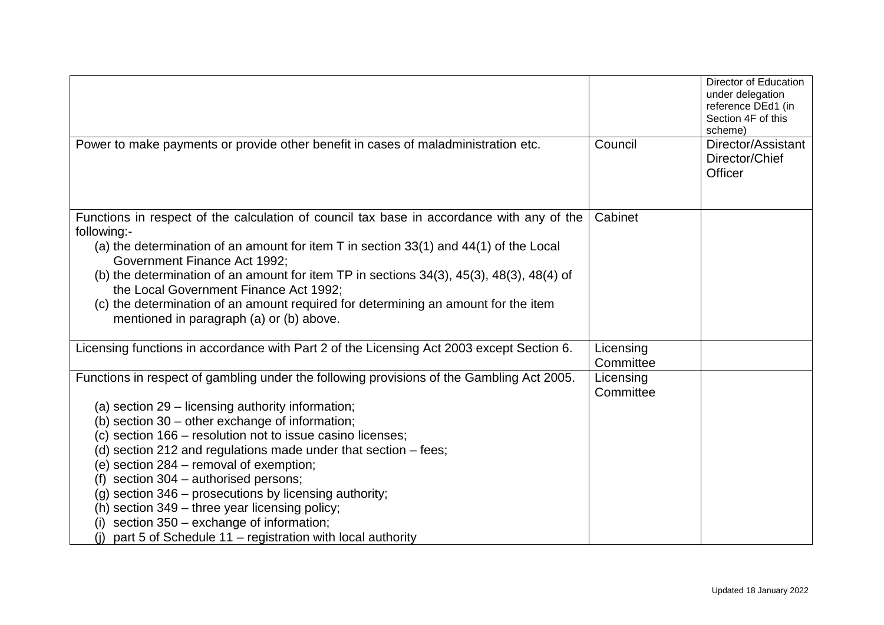|                                                                                                                                                                                                                                                                                                                                                                                                                                                                                                                                                                                                                                                       |                        | Director of Education<br>under delegation<br>reference DEd1 (in<br>Section 4F of this<br>scheme) |
|-------------------------------------------------------------------------------------------------------------------------------------------------------------------------------------------------------------------------------------------------------------------------------------------------------------------------------------------------------------------------------------------------------------------------------------------------------------------------------------------------------------------------------------------------------------------------------------------------------------------------------------------------------|------------------------|--------------------------------------------------------------------------------------------------|
| Power to make payments or provide other benefit in cases of maladministration etc.                                                                                                                                                                                                                                                                                                                                                                                                                                                                                                                                                                    | Council                | Director/Assistant<br>Director/Chief<br><b>Officer</b>                                           |
| Functions in respect of the calculation of council tax base in accordance with any of the<br>following:-<br>(a) the determination of an amount for item $T$ in section 33(1) and 44(1) of the Local<br>Government Finance Act 1992;<br>(b) the determination of an amount for item TP in sections $34(3)$ , $45(3)$ , $48(3)$ , $48(4)$ of<br>the Local Government Finance Act 1992;<br>(c) the determination of an amount required for determining an amount for the item<br>mentioned in paragraph (a) or (b) above.                                                                                                                                | Cabinet                |                                                                                                  |
| Licensing functions in accordance with Part 2 of the Licensing Act 2003 except Section 6.                                                                                                                                                                                                                                                                                                                                                                                                                                                                                                                                                             | Licensing<br>Committee |                                                                                                  |
| Functions in respect of gambling under the following provisions of the Gambling Act 2005.<br>(a) section $29 -$ licensing authority information;<br>(b) section 30 – other exchange of information;<br>(c) section 166 - resolution not to issue casino licenses;<br>(d) section 212 and regulations made under that section – fees;<br>(e) section 284 – removal of exemption;<br>(f) section $304 -$ authorised persons;<br>(g) section $346$ – prosecutions by licensing authority;<br>(h) section 349 – three year licensing policy;<br>(i) section $350 -$ exchange of information;<br>part 5 of Schedule 11 – registration with local authority | Licensing<br>Committee |                                                                                                  |